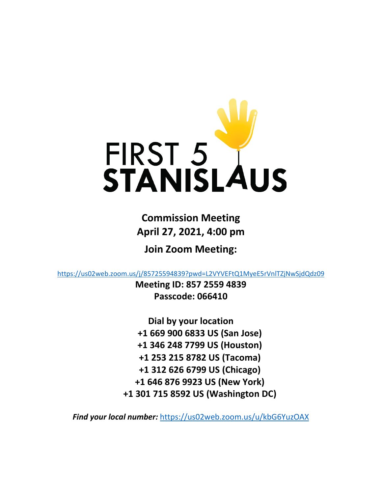

**Commission Meeting April 27, 2021, 4:00 pm**

**Join Zoom Meeting:**

<https://us02web.zoom.us/j/85725594839?pwd=L2VYVEFtQ1MyeE5rVnlTZjNwSjdQdz09>

**Meeting ID: 857 2559 4839 Passcode: 066410**

**Dial by your location +1 669 900 6833 US (San Jose) +1 346 248 7799 US (Houston) +1 253 215 8782 US (Tacoma) +1 312 626 6799 US (Chicago) +1 646 876 9923 US (New York) +1 301 715 8592 US (Washington DC)**

*Find your local number:* <https://us02web.zoom.us/u/kbG6YuzOAX>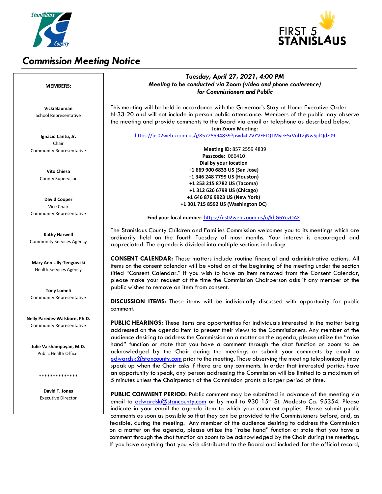

# *Commission Meeting Notice*



## *Tuesday, April 27, 2021, 4:00 PM Meeting to be conducted via Zoom (video and phone conference) for Commissioners and Public*

This meeting will be held in accordance with the Governor's Stay at Home Executive Order N-33-20 and will not include in person public attendance. Members of the public may observe the meeting and provide comments to the Board via email or telephone as described below. **Join Zoom Meeting:**

<https://us02web.zoom.us/j/85725594839?pwd=L2VYVEFtQ1MyeE5rVnlTZjNwSjdQdz09>

**Meeting ID:** 857 2559 4839 **Passcode:** 066410  **Dial by your location +1 669 900 6833 US (San Jose) +1 346 248 7799 US (Houston) +1 253 215 8782 US (Tacoma) +1 312 626 6799 US (Chicago) +1 646 876 9923 US (New York) +1 301 715 8592 US (Washington DC)**

#### **Find your local number:** <https://us02web.zoom.us/u/kbG6YuzOAX>

The Stanislaus County Children and Families Commission welcomes you to its meetings which are ordinarily held on the fourth Tuesday of most months. Your interest is encouraged and appreciated. The agenda is divided into multiple sections including:

**CONSENT CALENDAR:** These matters include routine financial and administrative actions. All items on the consent calendar will be voted on at the beginning of the meeting under the section titled "Consent Calendar." If you wish to have an item removed from the Consent Calendar, please make your request at the time the Commission Chairperson asks if any member of the public wishes to remove an item from consent.

**DISCUSSION ITEMS:** These items will be individually discussed with opportunity for public comment.

**PUBLIC HEARINGS:** These items are opportunities for individuals interested in the matter being addressed on the agenda item to present their views to the Commissioners. Any member of the audience desiring to address the Commission on a matter on the agenda, please utilize the "raise hand" function or state that you have a comment through the chat function on zoom to be acknowledged by the Chair during the meetings or submit your comments by email to [edwardsk@stancounty.com](mailto:edwardsk@stancounty.com) prior to the meeting. Those observing the meeting telephonically may speak up when the Chair asks if there are any comments. In order that interested parties have an opportunity to speak, any person addressing the Commission will be limited to a maximum of 5 minutes unless the Chairperson of the Commission grants a longer period of time.

**PUBLIC COMMENT PERIOD:** Public comment may be submitted in advance of the meeting via email to [edwardsk@stancounty.com](mailto:edwardsk@stancounty.com) or by mail to 930 15<sup>th</sup> St. Modesto Ca. 95354. Please indicate in your email the agenda item to which your comment applies. Please submit public comments as soon as possible so that they can be provided to the Commissioners before, and, as feasible, during the meeting. Any member of the audience desiring to address the Commission on a matter on the agenda, please utilize the "raise hand" function or state that you have a comment through the chat function on zoom to be acknowledged by the Chair during the meetings. If you have anything that you wish distributed to the Board and included for the official record,

#### **MEMBERS:**

**Vicki Bauman** School Representative

**Ignacio Cantu, Jr.** Chair Community Representative

> **Vito Chiesa** County Supervisor

**David Cooper** Vice Chair Community Representative

**Kathy Harwell** Community Services Agency

**Mary Ann Lilly-Tengowski** Health Services Agency

**Tony Lomeli** Community Representative

**Nelly Paredes-Walsborn, Ph.D.** Community Representative

**Julie Vaishampayan, M.D.** Public Health Officer

\*\*\*\*\*\*\*\*\*\*\*\*\*\*

**David T. Jones** Executive Director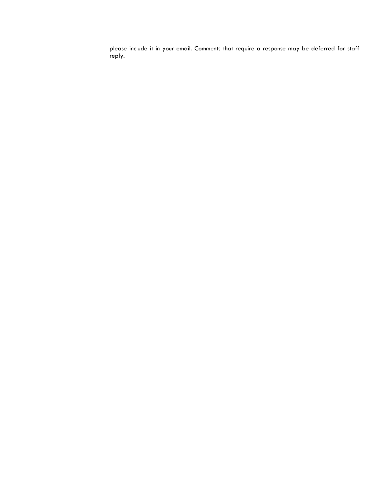please include it in your email. Comments that require a response may be deferred for staff reply.